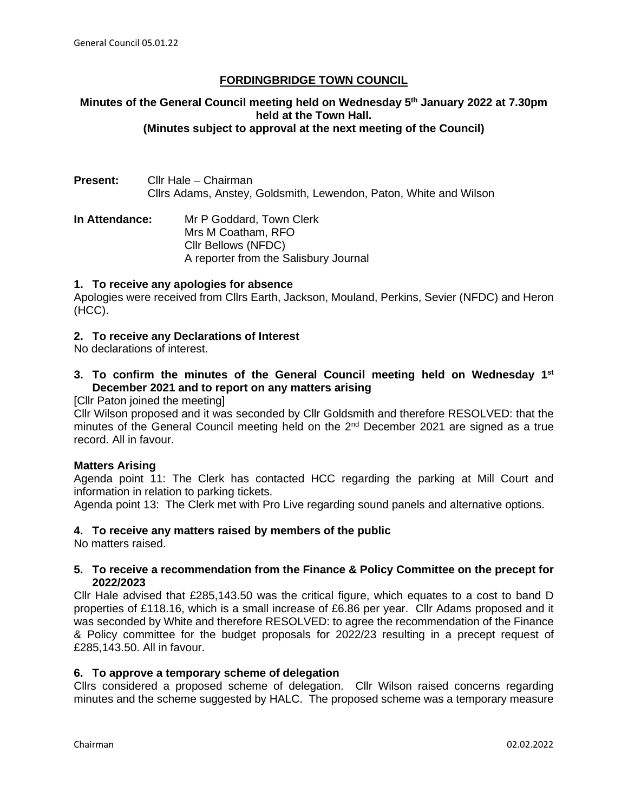# **FORDINGBRIDGE TOWN COUNCIL**

### **Minutes of the General Council meeting held on Wednesday 5th January 2022 at 7.30pm held at the Town Hall. (Minutes subject to approval at the next meeting of the Council)**

**Present:** Cllr Hale – Chairman Cllrs Adams, Anstey, Goldsmith, Lewendon, Paton, White and Wilson

**In Attendance:** Mr P Goddard, Town Clerk Mrs M Coatham, RFO Cllr Bellows (NFDC) A reporter from the Salisbury Journal

#### **1. To receive any apologies for absence**

Apologies were received from Cllrs Earth, Jackson, Mouland, Perkins, Sevier (NFDC) and Heron (HCC).

#### **2. To receive any Declarations of Interest**

No declarations of interest.

## **3. To confirm the minutes of the General Council meeting held on Wednesday 1st December 2021 and to report on any matters arising**

### [Cllr Paton joined the meeting]

Cllr Wilson proposed and it was seconded by Cllr Goldsmith and therefore RESOLVED: that the minutes of the General Council meeting held on the 2<sup>nd</sup> December 2021 are signed as a true record. All in favour.

#### **Matters Arising**

Agenda point 11: The Clerk has contacted HCC regarding the parking at Mill Court and information in relation to parking tickets.

Agenda point 13: The Clerk met with Pro Live regarding sound panels and alternative options.

#### **4. To receive any matters raised by members of the public**

No matters raised.

#### **5. To receive a recommendation from the Finance & Policy Committee on the precept for 2022/2023**

Cllr Hale advised that £285,143.50 was the critical figure, which equates to a cost to band D properties of £118.16, which is a small increase of £6.86 per year. Cllr Adams proposed and it was seconded by White and therefore RESOLVED: to agree the recommendation of the Finance & Policy committee for the budget proposals for 2022/23 resulting in a precept request of £285,143.50. All in favour.

#### **6. To approve a temporary scheme of delegation**

Cllrs considered a proposed scheme of delegation. Cllr Wilson raised concerns regarding minutes and the scheme suggested by HALC. The proposed scheme was a temporary measure